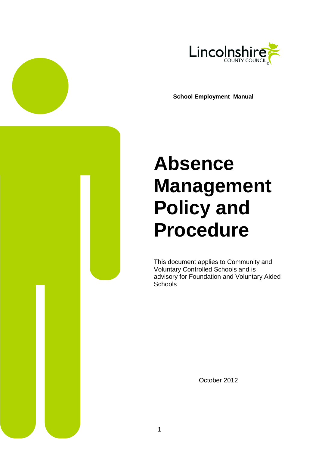

**School Employment Manual**

# **Absence Management Policy and Procedure**

This document applies to Community and Voluntary Controlled Schools and is advisory for Foundation and Voluntary Aided **Schools** 

<span id="page-0-0"></span>October 2012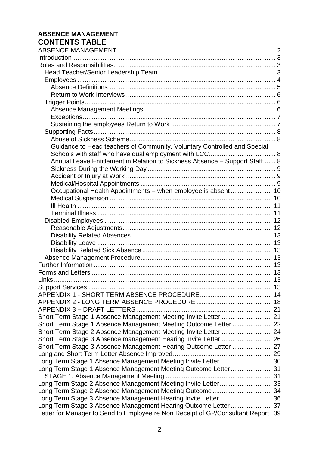## **ABSENCE MANAGEMENT CONTENTS TABLE**

| Guidance to Head teachers of Community, Voluntary Controlled and Special          |
|-----------------------------------------------------------------------------------|
|                                                                                   |
| Annual Leave Entitlement in Relation to Sickness Absence - Support Staff 8        |
|                                                                                   |
|                                                                                   |
|                                                                                   |
| Occupational Health Appointments - when employee is absent 10                     |
|                                                                                   |
|                                                                                   |
|                                                                                   |
|                                                                                   |
|                                                                                   |
|                                                                                   |
|                                                                                   |
|                                                                                   |
|                                                                                   |
|                                                                                   |
|                                                                                   |
|                                                                                   |
|                                                                                   |
|                                                                                   |
|                                                                                   |
|                                                                                   |
|                                                                                   |
| Short Term Stage 1 Absence Management Meeting Outcome Letter  22                  |
| Short Term Stage 2 Absence Management Meeting Invite Letter  24                   |
|                                                                                   |
| Short Term Stage 3 Absence Management Hearing Outcome Letter  27                  |
|                                                                                   |
| Long Term Stage 1 Absence Management Meeting Invite Letter 30                     |
| Long Term Stage 1 Absence Management Meeting Outcome Letter 31                    |
|                                                                                   |
| Long Term Stage 2 Absence Management Meeting Invite Letter 33                     |
| Long Term Stage 2 Absence Management Meeting Outcome 34                           |
| Long Term Stage 3 Absence Management Hearing Invite Letter 36                     |
| Long Term Stage 3 Absence Management Hearing Outcome Letter 37                    |
| Letter for Manager to Send to Employee re Non Receipt of GP/Consultant Report. 39 |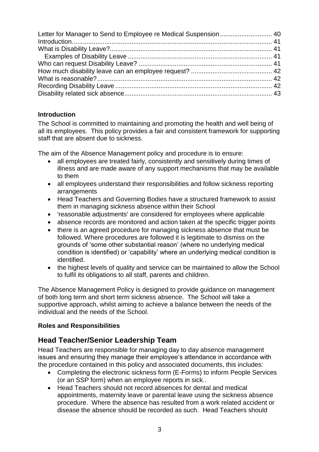## <span id="page-2-0"></span>**Introduction**

The School is committed to maintaining and promoting the health and well being of all its employees. This policy provides a fair and consistent framework for supporting staff that are absent due to sickness.

The aim of the Absence Management policy and procedure is to ensure:

- all employees are treated fairly, consistently and sensitively during times of illness and are made aware of any support mechanisms that may be available to them
- all employees understand their responsibilities and follow sickness reporting arrangements
- Head Teachers and Governing Bodies have a structured framework to assist them in managing sickness absence within their School
- 'reasonable adjustments' are considered for employees where applicable
- absence records are monitored and action taken at the specific trigger points
- there is an agreed procedure for managing sickness absence that must be followed. Where procedures are followed it is legitimate to dismiss on the grounds of "some other substantial reason" (where no underlying medical condition is identified) or "capability" where an underlying medical condition is identified.
- the highest levels of quality and service can be maintained to allow the School to fulfil its obligations to all staff, parents and children.

The Absence Management Policy is designed to provide guidance on management of both long term and short term sickness absence. The School will take a supportive approach, whilst aiming to achieve a balance between the needs of the individual and the needs of the School.

## <span id="page-2-1"></span>**Roles and Responsibilities**

# <span id="page-2-2"></span>**Head Teacher/Senior Leadership Team**

Head Teachers are responsible for managing day to day absence management issues and ensuring they manage their employee"s attendance in accordance with the procedure contained in this policy and associated documents, this includes:

- Completing the electronic sickness form (E-Forms) to inform People Services (or an SSP form) when an employee reports in sick..
- Head Teachers should not record absences for dental and medical appointments, maternity leave or parental leave using the sickness absence procedure. Where the absence has resulted from a work related accident or disease the absence should be recorded as such. Head Teachers should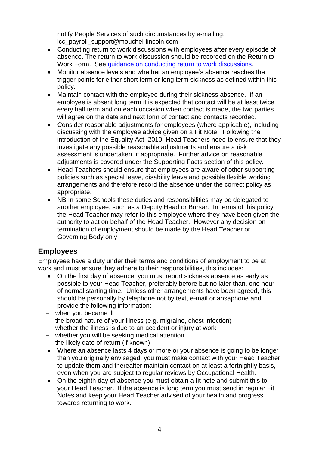notify People Services of such circumstances by e-mailing: lcc\_payroll\_support@mouchel-lincoln.com

- Conducting return to work discussions with employees after every episode of absence. The return to work discussion should be recorded on the Return to Work Form. See [guidance on conducting return to work discussions.](http://www.lincolnshire.gov.uk/jobs/manuals/employment-manual/absence-management/managers-guidance-on-conducting-a-return-to-work-interview/101283.article?tab=downloads)
- Monitor absence levels and whether an employee"s absence reaches the trigger points for either short term or long term sickness as defined within this policy.
- Maintain contact with the employee during their sickness absence. If an employee is absent long term it is expected that contact will be at least twice every half term and on each occasion when contact is made, the two parties will agree on the date and next form of contact and contacts recorded.
- Consider reasonable adjustments for employees (where applicable), including discussing with the employee advice given on a Fit Note. Following the introduction of the Equality Act 2010, Head Teachers need to ensure that they investigate any possible reasonable adjustments and ensure a risk assessment is undertaken, if appropriate. Further advice on reasonable adjustments is covered under the Supporting Facts section of this policy.
- Head Teachers should ensure that employees are aware of other supporting policies such as special leave, disability leave and possible flexible working arrangements and therefore record the absence under the correct policy as appropriate.
- NB In some Schools these duties and responsibilities may be delegated to another employee, such as a Deputy Head or Bursar. In terms of this policy the Head Teacher may refer to this employee where they have been given the authority to act on behalf of the Head Teacher. However any decision on termination of employment should be made by the Head Teacher or Governing Body only

# <span id="page-3-0"></span>**Employees**

Employees have a duty under their terms and conditions of employment to be at work and must ensure they adhere to their responsibilities, this includes:

- On the first day of absence, you must report sickness absence as early as possible to your Head Teacher, preferably before but no later than, one hour of normal starting time. Unless other arrangements have been agreed, this should be personally by telephone not by text, e-mail or ansaphone and provide the following information:
- when you became ill
- the broad nature of your illness (e.g. migraine, chest infection)
- whether the illness is due to an accident or injury at work
- whether you will be seeking medical attention
- the likely date of return (if known)
- Where an absence lasts 4 days or more or your absence is going to be longer than you originally envisaged, you must make contact with your Head Teacher to update them and thereafter maintain contact on at least a fortnightly basis, even when you are subject to regular reviews by Occupational Health.
- On the eighth day of absence you must obtain a fit note and submit this to your Head Teacher. If the absence is long term you must send in regular Fit Notes and keep your Head Teacher advised of your health and progress towards returning to work.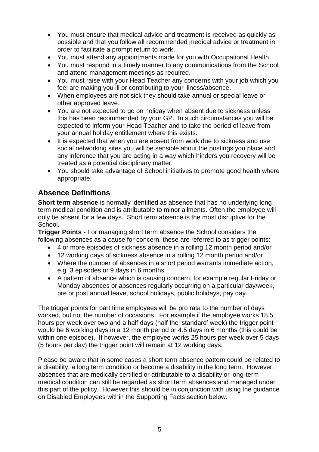- You must ensure that medical advice and treatment is received as quickly as possible and that you follow all recommended medical advice or treatment in order to facilitate a prompt return to work.
- You must attend any appointments made for you with Occupational Health
- You must respond in a timely manner to any communications from the School and attend management meetings as required.
- You must raise with your Head Teacher any concerns with your job which you feel are making you ill or contributing to your illness/absence.
- When employees are not sick they should take annual or special leave or other approved leave.
- You are not expected to go on holiday when absent due to sickness unless this has been recommended by your GP. In such circumstances you will be expected to inform your Head Teacher and to take the period of leave from your annual holiday entitlement where this exists.
- It is expected that when you are absent from work due to sickness and use social networking sites you will be sensible about the postings you place and any inference that you are acting in a way which hinders you recovery will be treated as a potential disciplinary matter.
- You should take advantage of School initiatives to promote good health where appropriate.

# <span id="page-4-0"></span>**Absence Definitions**

**Short term absence** is normally identified as absence that has no underlying long term medical condition and is attributable to minor ailments. Often the employee will only be absent for a few days. Short term absence is the most disruptive for the School.

**Trigger Points** - For managing short term absence the School considers the following absences as a cause for concern, these are referred to as trigger points:

- 4 or more episodes of sickness absence in a rolling 12 month period and/or
- 12 working days of sickness absence in a rolling 12 month period and/or
- Where the number of absences in a short period warrants immediate action, e.g. 3 episodes or 9 days in 6 months
- A pattern of absence which is causing concern, for example regular Friday or Monday absences or absences regularly occurring on a particular day/week, pre or post annual leave, school holidays, public holidays, pay day.

The trigger points for part time employees will be pro rata to the number of days worked, but not the number of occasions. For example if the employee works 18.5 hours per week over two and a half days (half the "standard" week) the trigger point would be 6 working days in a 12 month period or 4.5 days in 6 months (this could be within one episode). If however, the employee works 25 hours per week over 5 days (5 hours per day) the trigger point will remain at 12 working days.

Please be aware that in some cases a short term absence pattern could be related to a disability, a long term condition or become a disability in the long term. However, absences that are medically certified or attributable to a disability or long-term medical condition can still be regarded as short term absences and managed under this part of the policy. However this should be in conjunction with using the guidance on Disabled Employees within the Supporting Facts section below.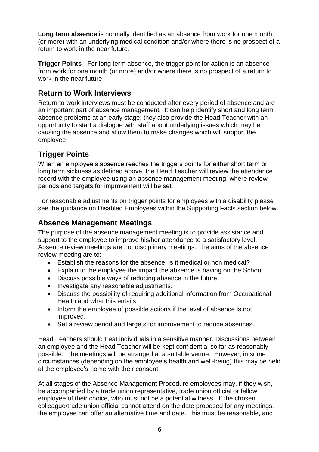**Long term absence** is normally identified as an absence from work for one month (or more) with an underlying medical condition and/or where there is no prospect of a return to work in the near future.

**Trigger Points** - For long term absence, the trigger point for action is an absence from work for one month (or more) and/or where there is no prospect of a return to work in the near future.

# <span id="page-5-0"></span>**Return to Work Interviews**

Return to work interviews must be conducted after every period of absence and are an important part of absence management. It can help identify short and long term absence problems at an early stage; they also provide the Head Teacher with an opportunity to start a dialogue with staff about underlying issues which may be causing the absence and allow them to make changes which will support the employee.

# <span id="page-5-1"></span>**Trigger Points**

When an employee's absence reaches the triggers points for either short term or long term sickness as defined above, the Head Teacher will review the attendance record with the employee using an absence management meeting, where review periods and targets for improvement will be set.

For reasonable adjustments on trigger points for employees with a disability please see the guidance on Disabled Employees within the Supporting Facts section below.

# <span id="page-5-2"></span>**Absence Management Meetings**

The purpose of the absence management meeting is to provide assistance and support to the employee to improve his/her attendance to a satisfactory level. Absence review meetings are not disciplinary meetings. The aims of the absence review meeting are to:

- Establish the reasons for the absence; is it medical or non medical?
- Explain to the employee the impact the absence is having on the School.
- Discuss possible ways of reducing absence in the future.
- Investigate any reasonable adjustments.
- Discuss the possibility of requiring additional information from Occupational Health and what this entails.
- Inform the employee of possible actions if the level of absence is not improved.
- Set a review period and targets for improvement to reduce absences.

Head Teachers should treat individuals in a sensitive manner. Discussions between an employee and the Head Teacher will be kept confidential so far as reasonably possible. The meetings will be arranged at a suitable venue. However, in some circumstances (depending on the employee"s health and well-being) this may be held at the employee"s home with their consent.

At all stages of the Absence Management Procedure employees may, if they wish, be accompanied by a trade union representative, trade union official or fellow employee of their choice, who must not be a potential witness. If the chosen colleague/trade union official cannot attend on the date proposed for any meetings, the employee can offer an alternative time and date. This must be reasonable, and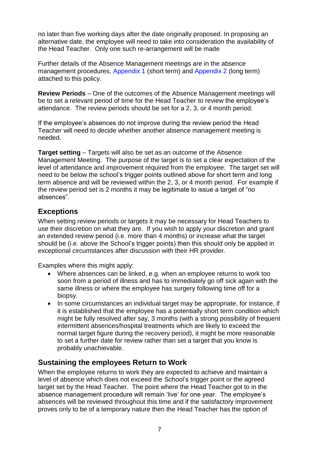no later than five working days after the date originally proposed. In proposing an alternative date, the employee will need to take into consideration the availability of the Head Teacher. Only one such re-arrangement will be made

Further details of the Absence Management meetings are in the absence management procedures, [Appendix 1](#page-13-0) (short term) and [Appendix 2](#page-16-0) (long term) attached to this policy.

**Review Periods** – One of the outcomes of the Absence Management meetings will be to set a relevant period of time for the Head Teacher to review the employee"s attendance. The review periods should be set for a 2, 3, or 4 month period.

If the employee"s absences do not improve during the review period the Head Teacher will need to decide whether another absence management meeting is needed.

**Target setting** – Targets will also be set as an outcome of the Absence Management Meeting. The purpose of the target is to set a clear expectation of the level of attendance and improvement required from the employee. The target set will need to be below the school"s trigger points outlined above for short term and long term absence and will be reviewed within the 2, 3, or 4 month period. For example if the review period set is 2 months it may be legitimate to issue a target of "no absences".

# <span id="page-6-0"></span>**Exceptions**

When setting review periods or targets it may be necessary for Head Teachers to use their discretion on what they are. If you wish to apply your discretion and grant an extended review period (i.e. more than 4 months) or increase what the target should be (i.e. above the School"s trigger points) then this should only be applied in exceptional circumstances after discussion with their HR provider.

Examples where this might apply:

- Where absences can be linked, e.g. when an employee returns to work too soon from a period of illness and has to immediately go off sick again with the same illness or where the employee has surgery following time off for a biopsy.
- In some circumstances an individual target may be appropriate, for instance, if it is established that the employee has a potentially short term condition which might be fully resolved after say, 3 months (with a strong possibility of frequent intermittent absences/hospital treatments which are likely to exceed the normal target figure during the recovery period), it might be more reasonable to set a further date for review rather than set a target that you know is probably unachievable.

# <span id="page-6-1"></span>**Sustaining the employees Return to Work**

When the employee returns to work they are expected to achieve and maintain a level of absence which does not exceed the School"s trigger point or the agreed target set by the Head Teacher. The point where the Head Teacher got to in the absence management procedure will remain "live" for one year. The employee"s absences will be reviewed throughout this time and if the satisfactory improvement proves only to be of a temporary nature then the Head Teacher has the option of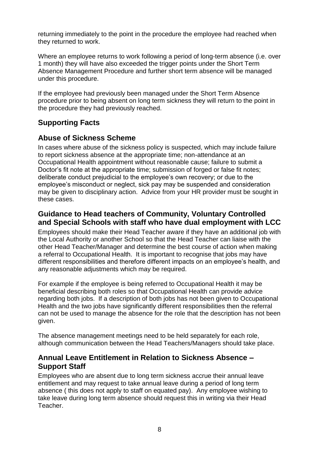returning immediately to the point in the procedure the employee had reached when they returned to work.

Where an employee returns to work following a period of long-term absence (i.e. over 1 month) they will have also exceeded the trigger points under the Short Term Absence Management Procedure and further short term absence will be managed under this procedure.

If the employee had previously been managed under the Short Term Absence procedure prior to being absent on long term sickness they will return to the point in the procedure they had previously reached.

# <span id="page-7-0"></span>**Supporting Facts**

# <span id="page-7-1"></span>**Abuse of Sickness Scheme**

In cases where abuse of the sickness policy is suspected, which may include failure to report sickness absence at the appropriate time; non-attendance at an Occupational Health appointment without reasonable cause; failure to submit a Doctor's fit note at the appropriate time; submission of forged or false fit notes; deliberate conduct prejudicial to the employee"s own recovery; or due to the employee"s misconduct or neglect, sick pay may be suspended and consideration may be given to disciplinary action. Advice from your HR provider must be sought in these cases.

## <span id="page-7-2"></span>**Guidance to Head teachers of Community, Voluntary Controlled and Special Schools with staff who have dual employment with LCC**

Employees should make their Head Teacher aware if they have an additional job with the Local Authority or another School so that the Head Teacher can liaise with the other Head Teacher/Manager and determine the best course of action when making a referral to Occupational Health. It is important to recognise that jobs may have different responsibilities and therefore different impacts on an employee"s health, and any reasonable adjustments which may be required.

For example if the employee is being referred to Occupational Health it may be beneficial describing both roles so that Occupational Health can provide advice regarding both jobs. If a description of both jobs has not been given to Occupational Health and the two jobs have significantly different responsibilities then the referral can not be used to manage the absence for the role that the description has not been given.

The absence management meetings need to be held separately for each role, although communication between the Head Teachers/Managers should take place.

# <span id="page-7-3"></span>**Annual Leave Entitlement in Relation to Sickness Absence – Support Staff**

Employees who are absent due to long term sickness accrue their annual leave entitlement and may request to take annual leave during a period of long term absence ( this does not apply to staff on equated pay). Any employee wishing to take leave during long term absence should request this in writing via their Head Teacher.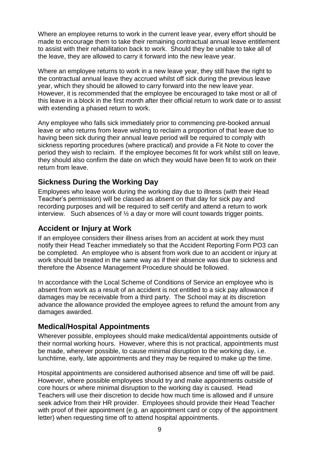Where an employee returns to work in the current leave year, every effort should be made to encourage them to take their remaining contractual annual leave entitlement to assist with their rehabilitation back to work. Should they be unable to take all of the leave, they are allowed to carry it forward into the new leave year.

Where an employee returns to work in a new leave year, they still have the right to the contractual annual leave they accrued whilst off sick during the previous leave year, which they should be allowed to carry forward into the new leave year. However, it is recommended that the employee be encouraged to take most or all of this leave in a block in the first month after their official return to work date or to assist with extending a phased return to work.

Any employee who falls sick immediately prior to commencing pre-booked annual leave or who returns from leave wishing to reclaim a proportion of that leave due to having been sick during their annual leave period will be required to comply with sickness reporting procedures (where practical) and provide a Fit Note to cover the period they wish to reclaim. If the employee becomes fit for work whilst still on leave, they should also confirm the date on which they would have been fit to work on their return from leave.

# <span id="page-8-0"></span>**Sickness During the Working Day**

Employees who leave work during the working day due to illness (with their Head Teacher"s permission) will be classed as absent on that day for sick pay and recording purposes and will be required to self certify and attend a return to work interview. Such absences of  $\frac{1}{2}$  a day or more will count towards trigger points.

# <span id="page-8-1"></span>**Accident or Injury at Work**

If an employee considers their illness arises from an accident at work they must notify their Head Teacher immediately so that the Accident Reporting Form PO3 can be completed. An employee who is absent from work due to an accident or injury at work should be treated in the same way as if their absence was due to sickness and therefore the Absence Management Procedure should be followed.

In accordance with the Local Scheme of Conditions of Service an employee who is absent from work as a result of an accident is not entitled to a sick pay allowance if damages may be receivable from a third party. The School may at its discretion advance the allowance provided the employee agrees to refund the amount from any damages awarded.

# <span id="page-8-2"></span>**Medical/Hospital Appointments**

Wherever possible, employees should make medical/dental appointments outside of their normal working hours. However, where this is not practical, appointments must be made, wherever possible, to cause minimal disruption to the working day, i.e. lunchtime, early, late appointments and they may be required to make up the time.

Hospital appointments are considered authorised absence and time off will be paid. However, where possible employees should try and make appointments outside of core hours or where minimal disruption to the working day is caused. Head Teachers will use their discretion to decide how much time is allowed and if unsure seek advice from their HR provider. Employees should provide their Head Teacher with proof of their appointment (e.g. an appointment card or copy of the appointment letter) when requesting time off to attend hospital appointments.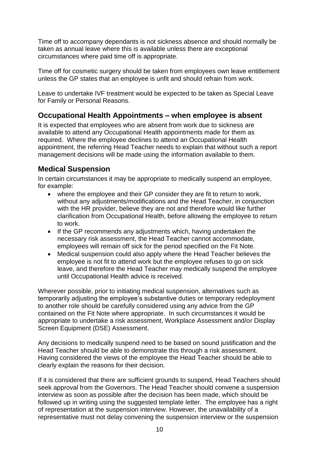Time off to accompany dependants is not sickness absence and should normally be taken as annual leave where this is available unless there are exceptional circumstances where paid time off is appropriate.

Time off for cosmetic surgery should be taken from employees own leave entitlement unless the GP states that an employee is unfit and should refrain from work.

Leave to undertake IVF treatment would be expected to be taken as Special Leave for Family or Personal Reasons.

# <span id="page-9-0"></span>**Occupational Health Appointments – when employee is absent**

It is expected that employees who are absent from work due to sickness are available to attend any Occupational Health appointments made for them as required. Where the employee declines to attend an Occupational Health appointment, the referring Head Teacher needs to explain that without such a report management decisions will be made using the information available to them.

# <span id="page-9-1"></span>**Medical Suspension**

In certain circumstances it may be appropriate to medically suspend an employee, for example:

- where the employee and their GP consider they are fit to return to work, without any adjustments/modifications and the Head Teacher, in conjunction with the HR provider, believe they are not and therefore would like further clarification from Occupational Health, before allowing the employee to return to work.
- If the GP recommends any adjustments which, having undertaken the necessary risk assessment, the Head Teacher cannot accommodate, employees will remain off sick for the period specified on the Fit Note.
- Medical suspension could also apply where the Head Teacher believes the employee is not fit to attend work but the employee refuses to go on sick leave, and therefore the Head Teacher may medically suspend the employee until Occupational Health advice is received.

Wherever possible, prior to initiating medical suspension, alternatives such as temporarily adjusting the employee"s substantive duties or temporary redeployment to another role should be carefully considered using any advice from the GP contained on the Fit Note where appropriate. In such circumstances it would be appropriate to undertake a risk assessment, Workplace Assessment and/or Display Screen Equipment (DSE) Assessment.

Any decisions to medically suspend need to be based on sound justification and the Head Teacher should be able to demonstrate this through a risk assessment. Having considered the views of the employee the Head Teacher should be able to clearly explain the reasons for their decision.

If it is considered that there are sufficient grounds to suspend, Head Teachers should seek approval from the Governors. The Head Teacher should convene a suspension interview as soon as possible after the decision has been made, which should be followed up in writing using the suggested template letter. The employee has a right of representation at the suspension interview. However, the unavailability of a representative must not delay convening the suspension interview or the suspension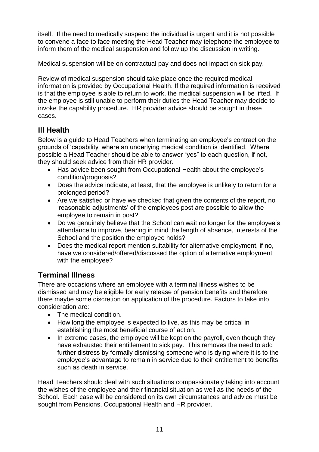itself. If the need to medically suspend the individual is urgent and it is not possible to convene a face to face meeting the Head Teacher may telephone the employee to inform them of the medical suspension and follow up the discussion in writing.

Medical suspension will be on contractual pay and does not impact on sick pay.

Review of medical suspension should take place once the required medical information is provided by Occupational Health. If the required information is received is that the employee is able to return to work, the medical suspension will be lifted. If the employee is still unable to perform their duties the Head Teacher may decide to invoke the capability procedure. HR provider advice should be sought in these cases.

# <span id="page-10-0"></span>**Ill Health**

Below is a guide to Head Teachers when terminating an employee"s contract on the grounds of "capability" where an underlying medical condition is identified. Where possible a Head Teacher should be able to answer "yes" to each question, if not, they should seek advice from their HR provider.

- Has advice been sought from Occupational Health about the employee's condition/prognosis?
- Does the advice indicate, at least, that the employee is unlikely to return for a prolonged period?
- Are we satisfied or have we checked that given the contents of the report, no "reasonable adjustments" of the employees post are possible to allow the employee to remain in post?
- Do we genuinely believe that the School can wait no longer for the employee's attendance to improve, bearing in mind the length of absence, interests of the School and the position the employee holds?
- Does the medical report mention suitability for alternative employment, if no, have we considered/offered/discussed the option of alternative employment with the employee?

# <span id="page-10-1"></span>**Terminal Illness**

There are occasions where an employee with a terminal illness wishes to be dismissed and may be eligible for early release of pension benefits and therefore there maybe some discretion on application of the procedure. Factors to take into consideration are:

- The medical condition.
- How long the employee is expected to live, as this may be critical in establishing the most beneficial course of action.
- In extreme cases, the employee will be kept on the payroll, even though they have exhausted their entitlement to sick pay. This removes the need to add further distress by formally dismissing someone who is dying where it is to the employee"s advantage to remain in service due to their entitlement to benefits such as death in service.

Head Teachers should deal with such situations compassionately taking into account the wishes of the employee and their financial situation as well as the needs of the School. Each case will be considered on its own circumstances and advice must be sought from Pensions, Occupational Health and HR provider.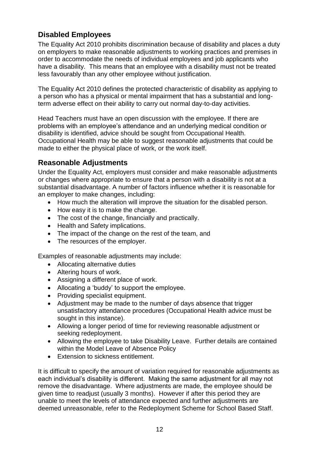# <span id="page-11-0"></span>**Disabled Employees**

The Equality Act 2010 prohibits discrimination because of disability and places a duty on employers to make reasonable adjustments to working practices and premises in order to accommodate the needs of individual employees and job applicants who have a disability. This means that an employee with a disability must not be treated less favourably than any other employee without justification.

The Equality Act 2010 defines the protected characteristic of disability as applying to a person who has a physical or mental impairment that has a substantial and longterm adverse effect on their ability to carry out normal day-to-day activities.

Head Teachers must have an open discussion with the employee. If there are problems with an employee"s attendance and an underlying medical condition or disability is identified, advice should be sought from Occupational Health. Occupational Health may be able to suggest reasonable adjustments that could be made to either the physical place of work, or the work itself.

# <span id="page-11-1"></span>**Reasonable Adjustments**

Under the Equality Act, employers must consider and make reasonable adjustments or changes where appropriate to ensure that a person with a disability is not at a substantial disadvantage. A number of factors influence whether it is reasonable for an employer to make changes, including:

- How much the alteration will improve the situation for the disabled person.
- How easy it is to make the change.
- The cost of the change, financially and practically.
- Health and Safety implications.
- The impact of the change on the rest of the team, and
- The resources of the employer.

Examples of reasonable adjustments may include:

- Allocating alternative duties
- Altering hours of work.
- Assigning a different place of work.
- Allocating a 'buddy' to support the employee.
- Providing specialist equipment.
- Adjustment may be made to the number of days absence that trigger unsatisfactory attendance procedures (Occupational Health advice must be sought in this instance).
- Allowing a longer period of time for reviewing reasonable adjustment or seeking redeployment.
- Allowing the employee to take Disability Leave. Further details are contained within the Model Leave of Absence Policy
- Extension to sickness entitlement.

It is difficult to specify the amount of variation required for reasonable adjustments as each individual"s disability is different. Making the same adjustment for all may not remove the disadvantage. Where adjustments are made, the employee should be given time to readjust (usually 3 months). However if after this period they are unable to meet the levels of attendance expected and further adjustments are deemed unreasonable, refer to the Redeployment Scheme for School Based Staff.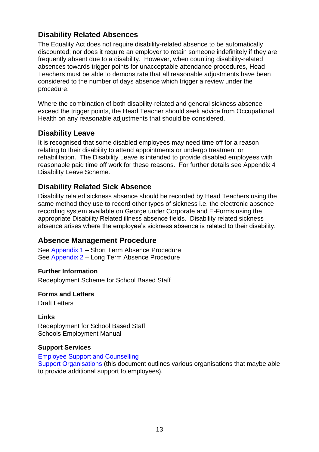# <span id="page-12-0"></span>**Disability Related Absences**

The Equality Act does not require disability-related absence to be automatically discounted; nor does it require an employer to retain someone indefinitely if they are frequently absent due to a disability. However, when counting disability-related absences towards trigger points for unacceptable attendance procedures, Head Teachers must be able to demonstrate that all reasonable adjustments have been considered to the number of days absence which trigger a review under the procedure.

Where the combination of both disability-related and general sickness absence exceed the trigger points, the Head Teacher should seek advice from Occupational Health on any reasonable adjustments that should be considered.

# <span id="page-12-1"></span>**Disability Leave**

It is recognised that some disabled employees may need time off for a reason relating to their disability to attend appointments or undergo treatment or rehabilitation. The Disability Leave is intended to provide disabled employees with reasonable paid time off work for these reasons. For further details see Appendix 4 Disability Leave Scheme.

## <span id="page-12-2"></span>**Disability Related Sick Absence**

Disability related sickness absence should be recorded by Head Teachers using the same method they use to record other types of sickness i.e. the electronic absence recording system available on George under Corporate and E-Forms using the appropriate Disability Related illness absence fields. Disability related sickness absence arises where the employee"s sickness absence is related to their disability.

## <span id="page-12-3"></span>**Absence Management Procedure**

See [Appendix 1 –](#page-13-0) Short Term Absence Procedure See [Appendix 2](#page-16-0) – Long Term Absence Procedure

#### <span id="page-12-4"></span>**Further Information**

Redeployment Scheme for School Based Staff

#### <span id="page-12-5"></span>**Forms and Letters**

Draft Letters

#### <span id="page-12-6"></span>**Links** Redeployment for School Based Staff Schools Employment Manual

#### <span id="page-12-7"></span>**Support Services**

#### [Employee Support and Counselling](http://www.lincolnshire.gov.uk/jobs/manuals/employment-manual/employee-support/employee-support-and-counselling-leaflet/58508.article)

[Support Organisations](http://www.lincolnshire.gov.uk/jobs/manuals/employment-manual/absence-management/support-organisations/101286.article) (this document outlines various organisations that maybe able to provide additional support to employees).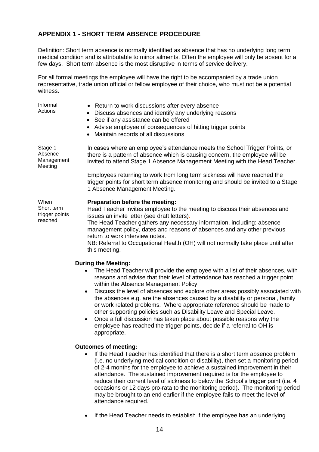## <span id="page-13-0"></span>**APPENDIX 1 - SHORT TERM ABSENCE PROCEDURE**

Definition: Short term absence is normally identified as absence that has no underlying long term medical condition and is attributable to minor ailments. Often the employee will only be absent for a few days. Short term absence is the most disruptive in terms of service delivery.

For all formal meetings the employee will have the right to be accompanied by a trade union representative, trade union official or fellow employee of their choice, who must not be a potential witness.

| Informal<br>Actions                             | • Return to work discussions after every absence<br>Discuss absences and identify any underlying reasons<br>See if any assistance can be offered<br>$\bullet$<br>Advise employee of consequences of hitting trigger points<br>$\bullet$<br>Maintain records of all discussions<br>$\bullet$                                                                                                                                                                                                                                                                                                                                                                                                                                                                |
|-------------------------------------------------|------------------------------------------------------------------------------------------------------------------------------------------------------------------------------------------------------------------------------------------------------------------------------------------------------------------------------------------------------------------------------------------------------------------------------------------------------------------------------------------------------------------------------------------------------------------------------------------------------------------------------------------------------------------------------------------------------------------------------------------------------------|
| Stage 1<br>Absence<br>Management<br>Meeting     | In cases where an employee's attendance meets the School Trigger Points, or<br>there is a pattern of absence which is causing concern, the employee will be<br>invited to attend Stage 1 Absence Management Meeting with the Head Teacher.                                                                                                                                                                                                                                                                                                                                                                                                                                                                                                                 |
|                                                 | Employees returning to work from long term sickness will have reached the<br>trigger points for short term absence monitoring and should be invited to a Stage<br>1 Absence Management Meeting.                                                                                                                                                                                                                                                                                                                                                                                                                                                                                                                                                            |
| When<br>Short term<br>trigger points<br>reached | Preparation before the meeting:<br>Head Teacher invites employee to the meeting to discuss their absences and<br>issues an invite letter (see draft letters).<br>The Head Teacher gathers any necessary information, including: absence<br>management policy, dates and reasons of absences and any other previous<br>return to work interview notes.<br>NB: Referral to Occupational Health (OH) will not normally take place until after<br>this meeting.                                                                                                                                                                                                                                                                                                |
|                                                 | <b>During the Meeting:</b><br>The Head Teacher will provide the employee with a list of their absences, with<br>reasons and advise that their level of attendance has reached a trigger point<br>within the Absence Management Policy.<br>Discuss the level of absences and explore other areas possibly associated with<br>$\bullet$<br>the absences e.g. are the absences caused by a disability or personal, family<br>or work related problems. Where appropriate reference should be made to<br>other supporting policies such as Disability Leave and Special Leave.<br>Once a full discussion has taken place about possible reasons why the<br>$\bullet$<br>employee has reached the trigger points, decide if a referral to OH is<br>appropriate. |
|                                                 | <b>Outcomes of meeting:</b><br>If the Head Teacher has identified that there is a short term absence problem<br>(i.e. no underlying medical condition or disability), then set a monitoring period                                                                                                                                                                                                                                                                                                                                                                                                                                                                                                                                                         |

- of 2-4 months for the employee to achieve a sustained improvement in their attendance. The sustained improvement required is for the employee to reduce their current level of sickness to below the School"s trigger point (i.e. 4 occasions or 12 days pro-rata to the monitoring period). The monitoring period may be brought to an end earlier if the employee fails to meet the level of attendance required.
- If the Head Teacher needs to establish if the employee has an underlying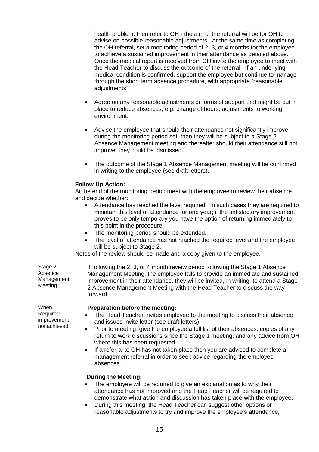health problem, then refer to OH - the aim of the referral will be for OH to advise on possible reasonable adjustments. At the same time as completing the OH referral, set a monitoring period of 2, 3, or 4 months for the employee to achieve a sustained improvement in their attendance as detailed above. Once the medical report is received from OH invite the employee to meet with the Head Teacher to discuss the outcome of the referral. If an underlying medical condition is confirmed, support the employee but continue to manage through the short term absence procedure, with appropriate "reasonable adjustments".

- Agree on any reasonable adjustments or forms of support that might be put in place to reduce absences, e.g. change of hours, adjustments to working environment.
- Advise the employee that should their attendance not significantly improve during the monitoring period set, then they will be subject to a Stage 2 Absence Management meeting and thereafter should their attendance still not improve, they could be dismissed.
- The outcome of the Stage 1 Absence Management meeting will be confirmed in writing to the employee (see draft letters).

#### **Follow Up Action:**

At the end of the monitoring period meet with the employee to review their absence and decide whether:

- Attendance has reached the level required. In such cases they are required to maintain this level of attendance for one year; if the satisfactory improvement proves to be only temporary you have the option of returning immediately to this point in the procedure.
- The monitoring period should be extended.
- The level of attendance has not reached the required level and the employee will be subject to Stage 2.

Notes of the review should be made and a copy given to the employee.

Stage 2 Absence Management Meeting

If following the 2, 3, or 4 month review period following the Stage 1 Absence Management Meeting, the employee fails to provide an immediate and sustained improvement in their attendance, they will be invited, in writing, to attend a Stage 2 Absence Management Meeting with the Head Teacher to discuss the way forward.

#### **Preparation before the meeting:**

- The Head Teacher invites employee to the meeting to discuss their absence and issues invite letter (see draft letters).
- Prior to meeting, give the employee a full list of their absences, copies of any return to work discussions since the Stage 1 meeting, and any advice from OH where this has been requested.
- If a referral to OH has not taken place then you are advised to complete a management referral in order to seek advice regarding the employee absences.

#### **During the Meeting:**

- The employee will be required to give an explanation as to why their attendance has not improved and the Head Teacher will be required to demonstrate what action and discussion has taken place with the employee.
- During this meeting, the Head Teacher can suggest other options or reasonable adjustments to try and improve the employee"s attendance,

When Required improvement not achieved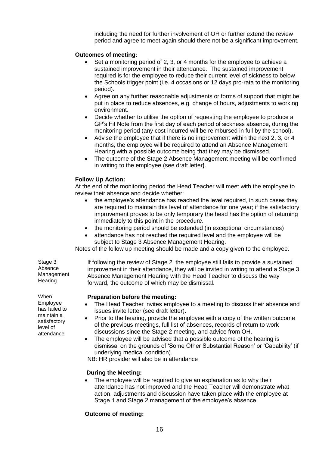including the need for further involvement of OH or further extend the review period and agree to meet again should there not be a significant improvement.

#### **Outcomes of meeting:**

- Set a monitoring period of 2, 3, or 4 months for the employee to achieve a sustained improvement in their attendance. The sustained improvement required is for the employee to reduce their current level of sickness to below the Schools trigger point (i.e. 4 occasions or 12 days pro-rata to the monitoring period).
- Agree on any further reasonable adjustments or forms of support that might be put in place to reduce absences, e.g. change of hours, adjustments to working environment.
- Decide whether to utilise the option of requesting the employee to produce a GP"s Fit Note from the first day of each period of sickness absence, during the monitoring period (any cost incurred will be reimbursed in full by the school).
- Advise the employee that if there is no improvement within the next 2, 3, or 4 months, the employee will be required to attend an Absence Management Hearing with a possible outcome being that they may be dismissed.
- The outcome of the Stage 2 Absence Management meeting will be confirmed in writing to the employee (see draft letter**)**.

#### **Follow Up Action:**

At the end of the monitoring period the Head Teacher will meet with the employee to review their absence and decide whether:

- the employee's attendance has reached the level required, in such cases they are required to maintain this level of attendance for one year; if the satisfactory improvement proves to be only temporary the head has the option of returning immediately to this point in the procedure.
- the monitoring period should be extended (in exceptional circumstances)
- attendance has not reached the required level and the employee will be subject to Stage 3 Absence Management Hearing.

Notes of the follow up meeting should be made and a copy given to the employee.

Stage 3 Absence Management **Hearing** 

If following the review of Stage 2, the employee still fails to provide a sustained improvement in their attendance, they will be invited in writing to attend a Stage 3 Absence Management Hearing with the Head Teacher to discuss the way forward, the outcome of which may be dismissal.

#### **Preparation before the meeting:**

- The Head Teacher invites employee to a meeting to discuss their absence and issues invite letter (see draft letter).
- Prior to the hearing, provide the employee with a copy of the written outcome of the previous meetings, full list of absences, records of return to work discussions since the Stage 2 meeting, and advice from OH.
- The employee will be advised that a possible outcome of the hearing is dismissal on the grounds of "Some Other Substantial Reason" or "Capability" (if underlying medical condition).

NB: HR provider will also be in attendance

#### **During the Meeting:**

 The employee will be required to give an explanation as to why their attendance has not improved and the Head Teacher will demonstrate what action, adjustments and discussion have taken place with the employee at Stage 1 and Stage 2 management of the employee's absence.

#### **Outcome of meeting:**

When Employee has failed to maintain a satisfactory level of attendance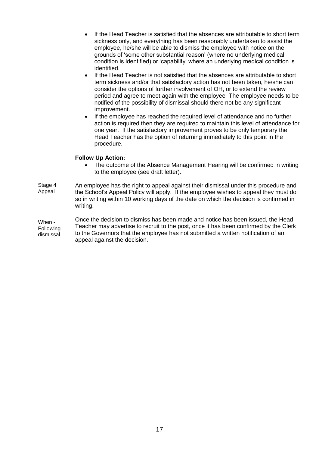- If the Head Teacher is satisfied that the absences are attributable to short term sickness only, and everything has been reasonably undertaken to assist the employee, he/she will be able to dismiss the employee with notice on the grounds of "some other substantial reason" (where no underlying medical condition is identified) or "capability" where an underlying medical condition is identified.
- If the Head Teacher is not satisfied that the absences are attributable to short term sickness and/or that satisfactory action has not been taken, he/she can consider the options of further involvement of OH, or to extend the review period and agree to meet again with the employee The employee needs to be notified of the possibility of dismissal should there not be any significant improvement.
- If the employee has reached the required level of attendance and no further action is required then they are required to maintain this level of attendance for one year. If the satisfactory improvement proves to be only temporary the Head Teacher has the option of returning immediately to this point in the procedure.

#### **Follow Up Action:**

• The outcome of the Absence Management Hearing will be confirmed in writing to the employee (see draft letter).

Stage 4 Appeal An employee has the right to appeal against their dismissal under this procedure and the School"s Appeal Policy will apply. If the employee wishes to appeal they must do so in writing within 10 working days of the date on which the decision is confirmed in writing.

<span id="page-16-0"></span>When - **Following** dismissal. Once the decision to dismiss has been made and notice has been issued, the Head Teacher may advertise to recruit to the post, once it has been confirmed by the Clerk to the Governors that the employee has not submitted a written notification of an appeal against the decision.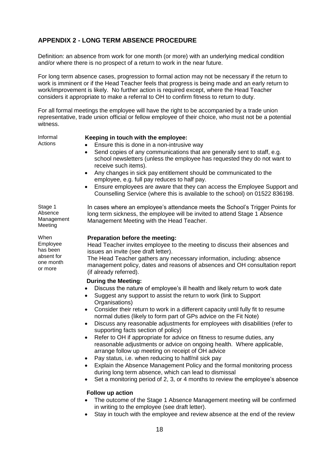## <span id="page-17-0"></span>**APPENDIX 2 - LONG TERM ABSENCE PROCEDURE**

Definition: an absence from work for one month (or more) with an underlying medical condition and/or where there is no prospect of a return to work in the near future.

For long term absence cases, progression to formal action may not be necessary if the return to work is imminent or if the Head Teacher feels that progress is being made and an early return to work/improvement is likely. No further action is required except, where the Head Teacher considers it appropriate to make a referral to OH to confirm fitness to return to duty.

For all formal meetings the employee will have the right to be accompanied by a trade union representative, trade union official or fellow employee of their choice, who must not be a potential witness.

Informal **Actions** 

#### **Keeping in touch with the employee:**

- Ensure this is done in a non-intrusive way
- Send copies of any communications that are generally sent to staff, e.g. school newsletters (unless the employee has requested they do not want to receive such items).
- Any changes in sick pay entitlement should be communicated to the employee, e.g. full pay reduces to half pay.
- Ensure employees are aware that they can access the Employee Support and Counselling Service (where this is available to the school) on 01522 836198.

Stage 1 Absence Management Meeting

When Employee has been absent for one month or more

In cases where an employee"s attendance meets the School"s Trigger Points for long term sickness, the employee will be invited to attend Stage 1 Absence Management Meeting with the Head Teacher.

#### **Preparation before the meeting:**

Head Teacher invites employee to the meeting to discuss their absences and issues an invite (see draft letter).

The Head Teacher gathers any necessary information, including: absence management policy, dates and reasons of absences and OH consultation report (if already referred).

#### **During the Meeting:**

- Discuss the nature of employee's ill health and likely return to work date
- Suggest any support to assist the return to work (link to Support Organisations)
- Consider their return to work in a different capacity until fully fit to resume normal duties (likely to form part of GPs advice on the Fit Note)
- Discuss any reasonable adjustments for employees with disabilities (refer to supporting facts section of policy)
- Refer to OH if appropriate for advice on fitness to resume duties, any reasonable adjustments or advice on ongoing health. Where applicable, arrange follow up meeting on receipt of OH advice
- Pay status, i.e. when reducing to half/nil sick pay
- Explain the Absence Management Policy and the formal monitoring process during long term absence, which can lead to dismissal
- Set a monitoring period of 2, 3, or 4 months to review the employee's absence

#### **Follow up action**

- The outcome of the Stage 1 Absence Management meeting will be confirmed in writing to the employee (see draft letter).
- Stay in touch with the employee and review absence at the end of the review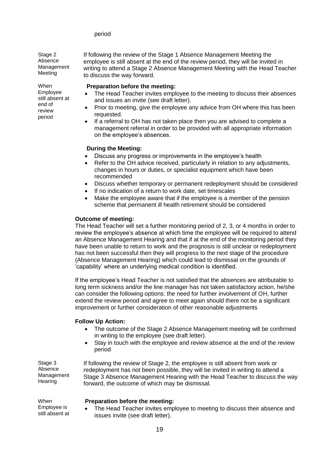#### period

Stage 2 Absence Management

If following the review of the Stage 1 Absence Management Meeting the employee is still absent at the end of the review period, they will be invited in writing to attend a Stage 2 Absence Management Meeting with the Head Teacher to discuss the way forward.

#### **Preparation before the meeting:**

- The Head Teacher invites employee to the meeting to discuss their absences and issues an invite (see draft letter).
- Prior to meeting, give the employee any advice from OH where this has been requested.
- If a referral to OH has not taken place then you are advised to complete a management referral in order to be provided with all appropriate information on the employee's absences.

#### **During the Meeting:**

- Discuss any progress or improvements in the employee's health
- Refer to the OH advice received, particularly in relation to any adjustments, changes in hours or duties, or specialist equipment which have been recommended
- Discuss whether temporary or permanent redeployment should be considered
- If no indication of a return to work date, set timescales
- Make the employee aware that if the employee is a member of the pension scheme that permanent ill health retirement should be considered

#### **Outcome of meeting:**

The Head Teacher will set a further monitoring period of 2, 3, or 4 months in order to review the employee"s absence at which time the employee will be required to attend an Absence Management Hearing and that if at the end of the monitoring period they have been unable to return to work and the prognosis is still unclear or redeployment has not been successful then they will progress to the next stage of the procedure (Absence Management Hearing) which could lead to dismissal on the grounds of "capability" where an underlying medical condition is identified.

If the employee"s Head Teacher is not satisfied that the absences are attributable to long term sickness and/or the line manager has not taken satisfactory action, he/she can consider the following options: the need for further involvement of OH, further extend the review period and agree to meet again should there not be a significant improvement or further consideration of other reasonable adjustments

#### **Follow Up Action:**

- The outcome of the Stage 2 Absence Management meeting will be confirmed in writing to the employee (see draft letter).
- Stay in touch with the employee and review absence at the end of the review period

Stage 3 Absence Management **Hearing** 

When Employee is still absent at

If following the review of Stage 2, the employee is still absent from work or redeployment has not been possible, they will be invited in writing to attend a Stage 3 Absence Management Hearing with the Head Teacher to discuss the way forward, the outcome of which may be dismissal.

#### **Preparation before the meeting:**

 The Head Teacher invites employee to meeting to discuss their absence and issues invite (see draft letter).

Meeting When Employee

still absent at end of review period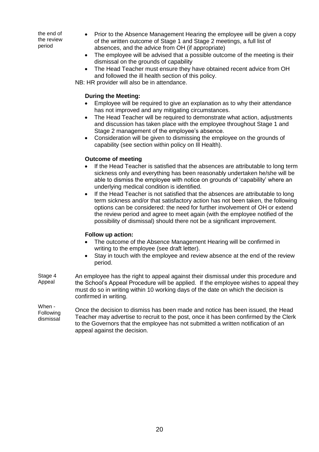the end of the review period

- Prior to the Absence Management Hearing the employee will be given a copy of the written outcome of Stage 1 and Stage 2 meetings, a full list of absences, and the advice from OH (if appropriate)
- The employee will be advised that a possible outcome of the meeting is their dismissal on the grounds of capability
- The Head Teacher must ensure they have obtained recent advice from OH and followed the ill health section of this policy.

NB: HR provider will also be in attendance.

#### **During the Meeting:**

- Employee will be required to give an explanation as to why their attendance has not improved and any mitigating circumstances.
- The Head Teacher will be required to demonstrate what action, adjustments and discussion has taken place with the employee throughout Stage 1 and Stage 2 management of the employee's absence.
- Consideration will be given to dismissing the employee on the grounds of capability (see section within policy on Ill Health).

#### **Outcome of meeting**

- If the Head Teacher is satisfied that the absences are attributable to long term sickness only and everything has been reasonably undertaken he/she will be able to dismiss the employee with notice on grounds of "capability" where an underlying medical condition is identified.
- If the Head Teacher is not satisfied that the absences are attributable to long term sickness and/or that satisfactory action has not been taken, the following options can be considered: the need for further involvement of OH or extend the review period and agree to meet again (with the employee notified of the possibility of dismissal) should there not be a significant improvement.

#### **Follow up action:**

- The outcome of the Absence Management Hearing will be confirmed in writing to the employee (see draft letter).
- Stay in touch with the employee and review absence at the end of the review period.
- Stage 4 Appeal An employee has the right to appeal against their dismissal under this procedure and the School"s Appeal Procedure will be applied. If the employee wishes to appeal they must do so in writing within 10 working days of the date on which the decision is confirmed in writing.

When - Following dismissal Once the decision to dismiss has been made and notice has been issued, the Head Teacher may advertise to recruit to the post, once it has been confirmed by the Clerk to the Governors that the employee has not submitted a written notification of an appeal against the decision.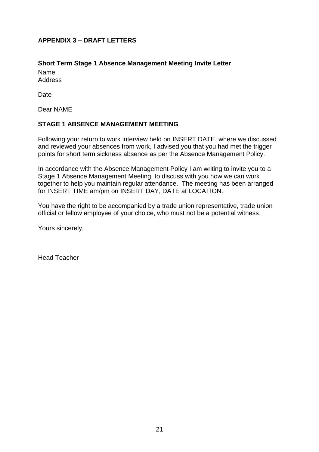## <span id="page-20-0"></span>**APPENDIX 3 – DRAFT LETTERS**

## <span id="page-20-1"></span>**Short Term Stage 1 Absence Management Meeting Invite Letter**

Name Address

Date

Dear NAME

## **STAGE 1 ABSENCE MANAGEMENT MEETING**

Following your return to work interview held on INSERT DATE, where we discussed and reviewed your absences from work, I advised you that you had met the trigger points for short term sickness absence as per the Absence Management Policy.

In accordance with the Absence Management Policy I am writing to invite you to a Stage 1 Absence Management Meeting, to discuss with you how we can work together to help you maintain regular attendance. The meeting has been arranged for INSERT TIME am/pm on INSERT DAY, DATE at LOCATION.

You have the right to be accompanied by a trade union representative, trade union official or fellow employee of your choice, who must not be a potential witness.

Yours sincerely,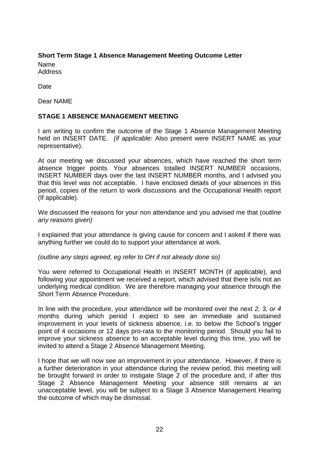## <span id="page-21-0"></span>**Short Term Stage 1 Absence Management Meeting Outcome Letter**

Name Address

Date

Dear NAME

## **STAGE 1 ABSENCE MANAGEMENT MEETING**

I am writing to confirm the outcome of the Stage 1 Absence Management Meeting held on INSERT DATE. *(if applicable*: Also present were INSERT NAME as your representative).

At our meeting we discussed your absences, which have reached the short term absence trigger points. Your absences totalled INSERT NUMBER occasions, INSERT NUMBER days over the last INSERT NUMBER months, and I advised you that this level was not acceptable. I have enclosed details of your absences in this period, copies of the return to work discussions and the Occupational Health report (If applicable).

We discussed the reasons for your non attendance and you advised me that (*outline any reasons given)*

I explained that your attendance is giving cause for concern and I asked if there was anything further we could do to support your attendance at work.

*(outline any steps agreed, eg refer to OH if not already done so)*

You were referred to Occupational Health in INSERT MONTH (if applicable), and following your appointment we received a report, which advised that there is/is not an underlying medical condition. We are therefore managing your absence through the Short Term Absence Procedure.

In line with the procedure, your attendance will be monitored over the next *2, 3, or 4* months during which period I expect to see an immediate and sustained improvement in your levels of sickness absence, i.e. to below the School"s trigger point of 4 occasions or 12 days pro-rata to the monitoring period. Should you fail to improve your sickness absence to an acceptable level during this time, you will be invited to attend a Stage 2 Absence Management Meeting.

I hope that we will now see an improvement in your attendance. However, if there is a further deterioration in your attendance during the review period, this meeting will be brought forward in order to instigate Stage 2 of the procedure and, if after this Stage 2 Absence Management Meeting your absence still remains at an unacceptable level, you will be subject to a Stage 3 Absence Management Hearing the outcome of which may be dismissal.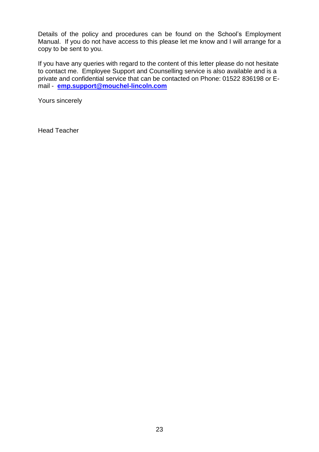Details of the policy and procedures can be found on the School"s Employment Manual. If you do not have access to this please let me know and I will arrange for a copy to be sent to you.

If you have any queries with regard to the content of this letter please do not hesitate to contact me. Employee Support and Counselling service is also available and is a private and confidential service that can be contacted on Phone: 01522 836198 or Email - **[emp.support@mouchel-lincoln.com](mailto:emp.support@mouchel-lincoln.com)**

Yours sincerely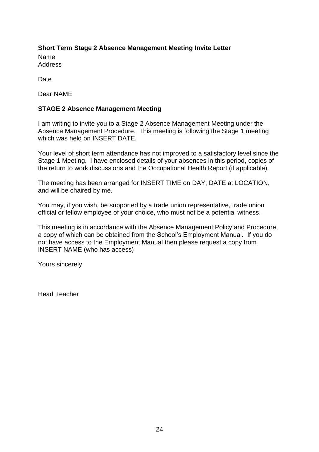# <span id="page-23-0"></span>**Short Term Stage 2 Absence Management Meeting Invite Letter**

Name Address

**Date** 

Dear NAME

## **STAGE 2 Absence Management Meeting**

I am writing to invite you to a Stage 2 Absence Management Meeting under the Absence Management Procedure. This meeting is following the Stage 1 meeting which was held on INSERT DATE.

Your level of short term attendance has not improved to a satisfactory level since the Stage 1 Meeting. I have enclosed details of your absences in this period, copies of the return to work discussions and the Occupational Health Report (if applicable).

The meeting has been arranged for INSERT TIME on DAY, DATE at LOCATION, and will be chaired by me.

You may, if you wish, be supported by a trade union representative, trade union official or fellow employee of your choice, who must not be a potential witness.

This meeting is in accordance with the Absence Management Policy and Procedure, a copy of which can be obtained from the School"s Employment Manual. If you do not have access to the Employment Manual then please request a copy from INSERT NAME (who has access)

Yours sincerely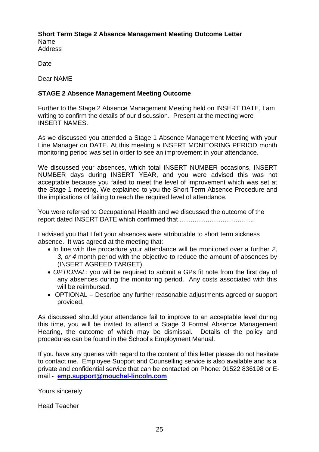#### **Short Term Stage 2 Absence Management Meeting Outcome Letter** Name

Address

Date

Dear NAME

## **STAGE 2 Absence Management Meeting Outcome**

Further to the Stage 2 Absence Management Meeting held on INSERT DATE, I am writing to confirm the details of our discussion. Present at the meeting were INSERT NAMES.

As we discussed you attended a Stage 1 Absence Management Meeting with your Line Manager on DATE. At this meeting a INSERT MONITORING PERIOD month monitoring period was set in order to see an improvement in your attendance.

We discussed your absences, which total INSERT NUMBER occasions, INSERT NUMBER days during INSERT YEAR, and you were advised this was not acceptable because you failed to meet the level of improvement which was set at the Stage 1 meeting. We explained to you the Short Term Absence Procedure and the implications of failing to reach the required level of attendance.

You were referred to Occupational Health and we discussed the outcome of the report dated INSERT DATE which confirmed that ……………………………..

I advised you that I felt your absences were attributable to short term sickness absence. It was agreed at the meeting that:

- In line with the procedure your attendance will be monitored over a further *2, 3, or 4* month period with the objective to reduce the amount of absences by (INSERT AGREED TARGET).
- *OPTIONAL:* you will be required to submit a GPs fit note from the first day of any absences during the monitoring period. Any costs associated with this will be reimbursed.
- OPTIONAL Describe any further reasonable adjustments agreed or support provided.

As discussed should your attendance fail to improve to an acceptable level during this time, you will be invited to attend a Stage 3 Formal Absence Management Hearing, the outcome of which may be dismissal. Details of the policy and procedures can be found in the School"s Employment Manual.

If you have any queries with regard to the content of this letter please do not hesitate to contact me. Employee Support and Counselling service is also available and is a private and confidential service that can be contacted on Phone: 01522 836198 or Email - **[emp.support@mouchel-lincoln.com](mailto:emp.support@mouchel-lincoln.com)**

Yours sincerely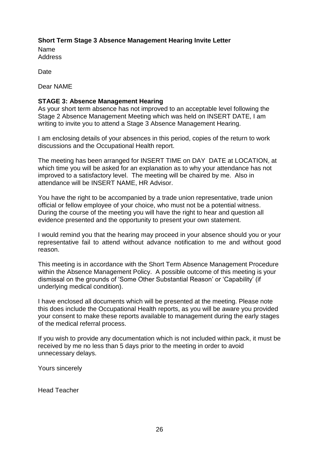## <span id="page-25-0"></span>**Short Term Stage 3 Absence Management Hearing Invite Letter**

Name **Address** 

Date

Dear NAME

#### **STAGE 3: Absence Management Hearing**

As your short term absence has not improved to an acceptable level following the Stage 2 Absence Management Meeting which was held on INSERT DATE, I am writing to invite you to attend a Stage 3 Absence Management Hearing.

I am enclosing details of your absences in this period, copies of the return to work discussions and the Occupational Health report.

The meeting has been arranged for INSERT TIME on DAY DATE at LOCATION, at which time you will be asked for an explanation as to why your attendance has not improved to a satisfactory level. The meeting will be chaired by me. Also in attendance will be INSERT NAME, HR Advisor.

You have the right to be accompanied by a trade union representative, trade union official or fellow employee of your choice, who must not be a potential witness. During the course of the meeting you will have the right to hear and question all evidence presented and the opportunity to present your own statement.

I would remind you that the hearing may proceed in your absence should you or your representative fail to attend without advance notification to me and without good reason.

This meeting is in accordance with the Short Term Absence Management Procedure within the Absence Management Policy. A possible outcome of this meeting is your dismissal on the grounds of "Some Other Substantial Reason" or "Capability" (if underlying medical condition).

I have enclosed all documents which will be presented at the meeting. Please note this does include the Occupational Health reports, as you will be aware you provided your consent to make these reports available to management during the early stages of the medical referral process.

If you wish to provide any documentation which is not included within pack, it must be received by me no less than 5 days prior to the meeting in order to avoid unnecessary delays.

Yours sincerely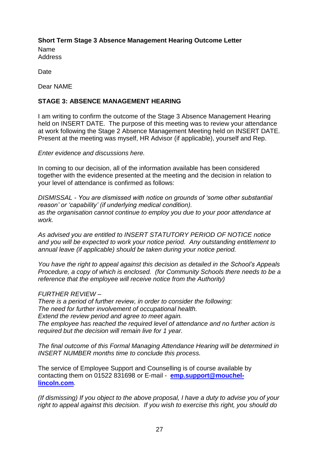## <span id="page-26-0"></span>**Short Term Stage 3 Absence Management Hearing Outcome Letter**

Name **Address** 

Date

Dear NAME

## **STAGE 3: ABSENCE MANAGEMENT HEARING**

I am writing to confirm the outcome of the Stage 3 Absence Management Hearing held on INSERT DATE. The purpose of this meeting was to review your attendance at work following the Stage 2 Absence Management Meeting held on INSERT DATE. Present at the meeting was myself, HR Advisor (if applicable), yourself and Rep.

*Enter evidence and discussions here.*

In coming to our decision, all of the information available has been considered together with the evidence presented at the meeting and the decision in relation to your level of attendance is confirmed as follows:

*DISMISSAL - You are dismissed with notice on grounds of 'some other substantial reason' or 'capability' (if underlying medical condition). as the organisation cannot continue to employ you due to your poor attendance at work.*

*As advised you are entitled to INSERT STATUTORY PERIOD OF NOTICE notice and you will be expected to work your notice period. Any outstanding entitlement to annual leave (if applicable) should be taken during your notice period.* 

*You have the right to appeal against this decision as detailed in the School's Appeals Procedure, a copy of which is enclosed. (for Community Schools there needs to be a reference that the employee will receive notice from the Authority)*

## *FURTHER REVIEW –*

*There is a period of further review, in order to consider the following: The need for further involvement of occupational health. Extend the review period and agree to meet again. The employee has reached the required level of attendance and no further action is required but the decision will remain live for 1 year.*

*The final outcome of this Formal Managing Attendance Hearing will be determined in INSERT NUMBER months time to conclude this process.*

The service of Employee Support and Counselling is of course available by contacting them on 01522 831698 or E-mail - **[emp.support@mouchel](mailto:emp.support@mouchel-lincoln.com)[lincoln.com](mailto:emp.support@mouchel-lincoln.com)**.

*(If dismissing) If you object to the above proposal, I have a duty to advise you of your right to appeal against this decision. If you wish to exercise this right, you should do*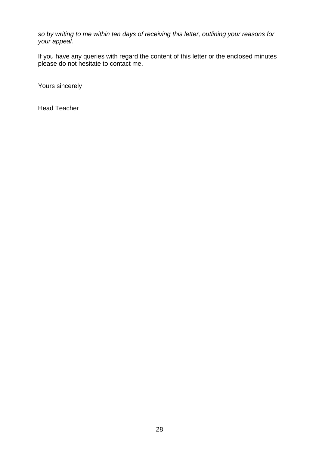*so by writing to me within ten days of receiving this letter, outlining your reasons for your appeal.* 

If you have any queries with regard the content of this letter or the enclosed minutes please do not hesitate to contact me.

Yours sincerely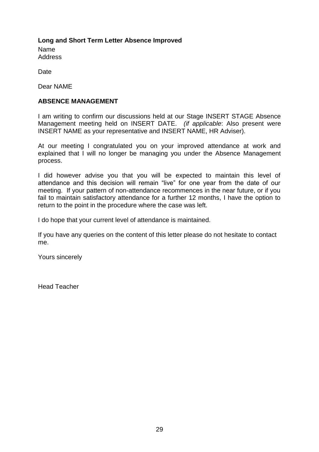## <span id="page-28-0"></span>**Long and Short Term Letter Absence Improved**

Name **Address** 

Date

Dear NAME

## **ABSENCE MANAGEMENT**

I am writing to confirm our discussions held at our Stage INSERT STAGE Absence Management meeting held on INSERT DATE. *(if applicable*: Also present were INSERT NAME as your representative and INSERT NAME, HR Adviser).

At our meeting I congratulated you on your improved attendance at work and explained that I will no longer be managing you under the Absence Management process.

I did however advise you that you will be expected to maintain this level of attendance and this decision will remain "live" for one year from the date of our meeting. If your pattern of non-attendance recommences in the near future, or if you fail to maintain satisfactory attendance for a further 12 months, I have the option to return to the point in the procedure where the case was left.

I do hope that your current level of attendance is maintained.

If you have any queries on the content of this letter please do not hesitate to contact me.

Yours sincerely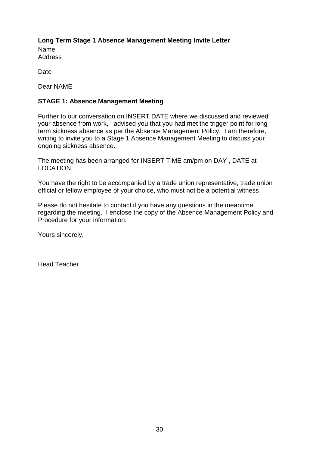<span id="page-29-0"></span>**Long Term Stage 1 Absence Management Meeting Invite Letter** Name **Address** 

**Date** 

Dear NAME

## **STAGE 1: Absence Management Meeting**

Further to our conversation on INSERT DATE where we discussed and reviewed your absence from work, I advised you that you had met the trigger point for long term sickness absence as per the Absence Management Policy. I am therefore, writing to invite you to a Stage 1 Absence Management Meeting to discuss your ongoing sickness absence.

The meeting has been arranged for INSERT TIME am/pm on DAY , DATE at LOCATION.

You have the right to be accompanied by a trade union representative, trade union official or fellow employee of your choice, who must not be a potential witness.

Please do not hesitate to contact if you have any questions in the meantime regarding the meeting. I enclose the copy of the Absence Management Policy and Procedure for your information.

Yours sincerely,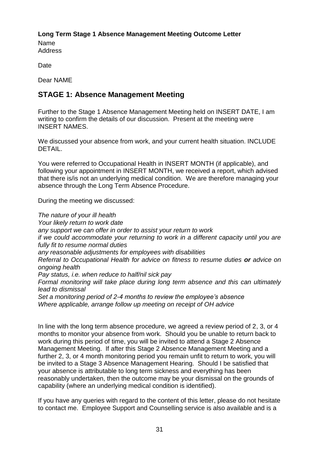## <span id="page-30-0"></span>**Long Term Stage 1 Absence Management Meeting Outcome Letter**

Name **Address** 

Date

Dear NAME

# <span id="page-30-1"></span>**STAGE 1: Absence Management Meeting**

Further to the Stage 1 Absence Management Meeting held on INSERT DATE, I am writing to confirm the details of our discussion. Present at the meeting were INSERT NAMES.

We discussed your absence from work, and your current health situation. INCLUDE DETAIL.

You were referred to Occupational Health in INSERT MONTH (if applicable), and following your appointment in INSERT MONTH, we received a report, which advised that there is/is not an underlying medical condition. We are therefore managing your absence through the Long Term Absence Procedure.

During the meeting we discussed:

*The nature of your ill health Your likely return to work date any support we can offer in order to assist your return to work if we could accommodate your returning to work in a different capacity until you are fully fit to resume normal duties any reasonable adjustments for employees with disabilities Referral to Occupational Health for advice on fitness to resume duties or advice on ongoing health Pay status, i.e. when reduce to half/nil sick pay Formal monitoring will take place during long term absence and this can ultimately lead to dismissal Set a monitoring period of 2-4 months to review the employee's absence Where applicable, arrange follow up meeting on receipt of OH advice*

In line with the long term absence procedure, we agreed a review period of 2, 3, or 4 months to monitor your absence from work. Should you be unable to return back to work during this period of time, you will be invited to attend a Stage 2 Absence Management Meeting. If after this Stage 2 Absence Management Meeting and a further 2, 3, or 4 month monitoring period you remain unfit to return to work, you will be invited to a Stage 3 Absence Management Hearing. Should I be satisfied that your absence is attributable to long term sickness and everything has been reasonably undertaken, then the outcome may be your dismissal on the grounds of capability (where an underlying medical condition is identified).

If you have any queries with regard to the content of this letter, please do not hesitate to contact me. Employee Support and Counselling service is also available and is a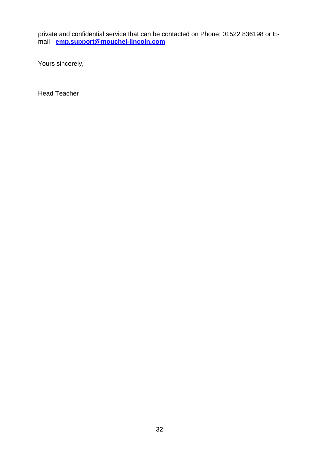private and confidential service that can be contacted on Phone: 01522 836198 or Email - **[emp.support@mouchel-lincoln.com](mailto:emp.support@mouchel-lincoln.com)**

Yours sincerely,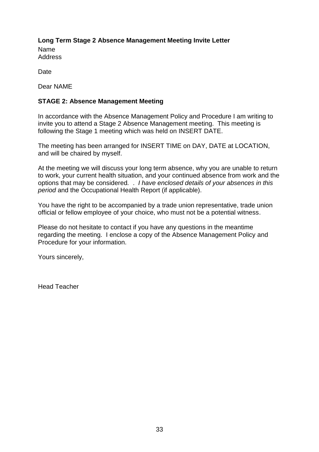<span id="page-32-0"></span>**Long Term Stage 2 Absence Management Meeting Invite Letter** Name **Address** 

**Date** 

Dear NAME

#### **STAGE 2: Absence Management Meeting**

In accordance with the Absence Management Policy and Procedure I am writing to invite you to attend a Stage 2 Absence Management meeting. This meeting is following the Stage 1 meeting which was held on INSERT DATE.

The meeting has been arranged for INSERT TIME on DAY, DATE at LOCATION, and will be chaired by myself.

At the meeting we will discuss your long term absence, why you are unable to return to work, your current health situation, and your continued absence from work and the options that may be considered*.* . *I have enclosed details of your absences in this period* and the Occupational Health Report (if applicable).

You have the right to be accompanied by a trade union representative, trade union official or fellow employee of your choice, who must not be a potential witness.

Please do not hesitate to contact if you have any questions in the meantime regarding the meeting. I enclose a copy of the Absence Management Policy and Procedure for your information.

Yours sincerely,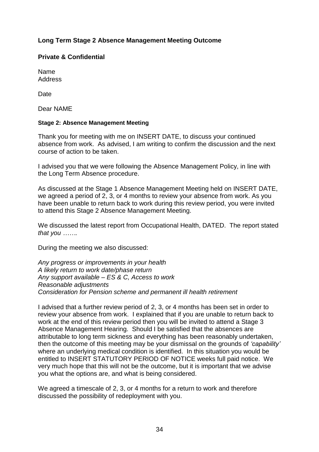## <span id="page-33-0"></span>**Long Term Stage 2 Absence Management Meeting Outcome**

#### **Private & Confidential**

Name **Address** 

**Date** 

Dear NAME

#### **Stage 2: Absence Management Meeting**

Thank you for meeting with me on INSERT DATE, to discuss your continued absence from work. As advised, I am writing to confirm the discussion and the next course of action to be taken.

I advised you that we were following the Absence Management Policy, in line with the Long Term Absence procedure.

As discussed at the Stage 1 Absence Management Meeting held on INSERT DATE, we agreed a period of 2, 3, or 4 months to review your absence from work. As you have been unable to return back to work during this review period, you were invited to attend this Stage 2 Absence Management Meeting.

We discussed the latest report from Occupational Health, DATED. The report stated *that you …….*

During the meeting we also discussed:

*Any progress or improvements in your health A likely return to work date/phase return Any support available – ES & C, Access to work Reasonable adjustments Consideration for Pension scheme and permanent ill health retirement*

I advised that a further review period of 2, 3, or 4 months has been set in order to review your absence from work. I explained that if you are unable to return back to work at the end of this review period then you will be invited to attend a Stage 3 Absence Management Hearing. Should I be satisfied that the absences are attributable to long term sickness and everything has been reasonably undertaken, then the outcome of this meeting may be your dismissal on the grounds of *'capability'*  where an underlying medical condition is identified. In this situation you would be entitled to INSERT STATUTORY PERIOD OF NOTICE weeks full paid notice. We very much hope that this will not be the outcome, but it is important that we advise you what the options are, and what is being considered.

We agreed a timescale of 2, 3, or 4 months for a return to work and therefore discussed the possibility of redeployment with you.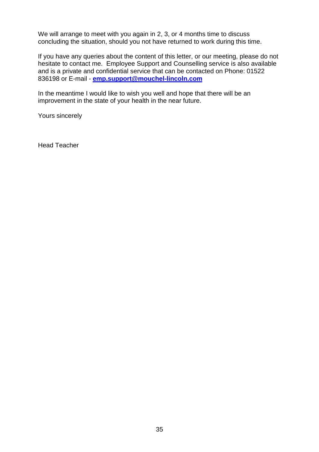We will arrange to meet with you again in 2, 3, or 4 months time to discuss concluding the situation, should you not have returned to work during this time.

If you have any queries about the content of this letter, or our meeting, please do not hesitate to contact me. Employee Support and Counselling service is also available and is a private and confidential service that can be contacted on Phone: 01522 836198 or E-mail - **[emp.support@mouchel-lincoln.com](mailto:emp.support@mouchel-lincoln.com)**

In the meantime I would like to wish you well and hope that there will be an improvement in the state of your health in the near future.

Yours sincerely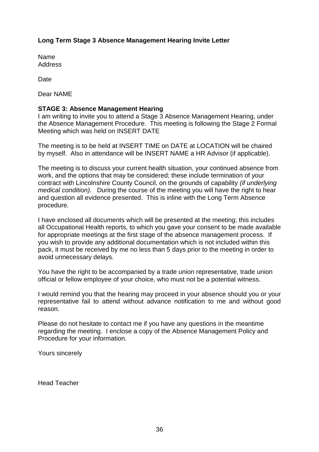## <span id="page-35-0"></span>**Long Term Stage 3 Absence Management Hearing Invite Letter**

Name Address

**Date** 

Dear NAME

## **STAGE 3: Absence Management Hearing**

I am writing to invite you to attend a Stage 3 Absence Management Hearing, under the Absence Management Procedure. This meeting is following the Stage 2 Formal Meeting which was held on INSERT DATE

The meeting is to be held at INSERT TIME on DATE at LOCATION will be chaired by myself. Also in attendance will be INSERT NAME a HR Advisor (if applicable).

The meeting is to discuss your current health situation, your continued absence from work, and the options that may be considered; these include termination of your contract with Lincolnshire County Council, on the grounds of capability *(if underlying medical condition).* During the course of the meeting you will have the right to hear and question all evidence presented. This is inline with the Long Term Absence procedure.

I have enclosed all documents which will be presented at the meeting; this includes all Occupational Health reports, to which you gave your consent to be made available for appropriate meetings at the first stage of the absence management process. If you wish to provide any additional documentation which is not included within this pack, it must be received by me no less than 5 days prior to the meeting in order to avoid unnecessary delays.

You have the right to be accompanied by a trade union representative, trade union official or fellow employee of your choice, who must not be a potential witness.

I would remind you that the hearing may proceed in your absence should you or your representative fail to attend without advance notification to me and without good reason.

Please do not hesitate to contact me if you have any questions in the meantime regarding the meeting. I enclose a copy of the Absence Management Policy and Procedure for your information.

Yours sincerely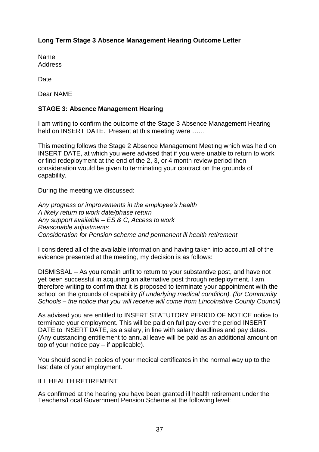## <span id="page-36-0"></span>**Long Term Stage 3 Absence Management Hearing Outcome Letter**

Name Address

**Date** 

Dear NAME

## **STAGE 3: Absence Management Hearing**

I am writing to confirm the outcome of the Stage 3 Absence Management Hearing held on INSERT DATE. Present at this meeting were ……

This meeting follows the Stage 2 Absence Management Meeting which was held on INSERT DATE, at which you were advised that if you were unable to return to work or find redeployment at the end of the 2, 3, or 4 month review period then consideration would be given to terminating your contract on the grounds of capability.

During the meeting we discussed:

*Any progress or improvements in the employee's health A likely return to work date/phase return Any support available – ES & C, Access to work Reasonable adjustments Consideration for Pension scheme and permanent ill health retirement* 

I considered all of the available information and having taken into account all of the evidence presented at the meeting, my decision is as follows:

DISMISSAL – As you remain unfit to return to your substantive post, and have not yet been successful in acquiring an alternative post through redeployment, I am therefore writing to confirm that it is proposed to terminate your appointment with the school on the grounds of capability *(if underlying medical condition). (for Community Schools – the notice that you will receive will come from Lincolnshire County Council)*

As advised you are entitled to INSERT STATUTORY PERIOD OF NOTICE notice to terminate your employment. This will be paid on full pay over the period INSERT DATE to INSERT DATE, as a salary, in line with salary deadlines and pay dates. (Any outstanding entitlement to annual leave will be paid as an additional amount on top of your notice pay – if applicable).

You should send in copies of your medical certificates in the normal way up to the last date of your employment.

#### ILL HEALTH RETIREMENT

As confirmed at the hearing you have been granted ill health retirement under the Teachers/Local Government Pension Scheme at the following level: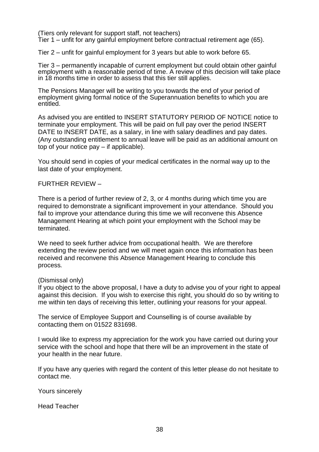(Tiers only relevant for support staff, not teachers)

Tier 1 – unfit for any gainful employment before contractual retirement age (65).

Tier 2 – unfit for gainful employment for 3 years but able to work before 65.

Tier 3 – permanently incapable of current employment but could obtain other gainful employment with a reasonable period of time. A review of this decision will take place in 18 months time in order to assess that this tier still applies.

The Pensions Manager will be writing to you towards the end of your period of employment giving formal notice of the Superannuation benefits to which you are entitled.

As advised you are entitled to INSERT STATUTORY PERIOD OF NOTICE notice to terminate your employment. This will be paid on full pay over the period INSERT DATE to INSERT DATE, as a salary, in line with salary deadlines and pay dates. (Any outstanding entitlement to annual leave will be paid as an additional amount on top of your notice pay – if applicable).

You should send in copies of your medical certificates in the normal way up to the last date of your employment.

#### FURTHER REVIEW –

There is a period of further review of 2, 3, or 4 months during which time you are required to demonstrate a significant improvement in your attendance. Should you fail to improve your attendance during this time we will reconvene this Absence Management Hearing at which point your employment with the School may be terminated.

We need to seek further advice from occupational health. We are therefore extending the review period and we will meet again once this information has been received and reconvene this Absence Management Hearing to conclude this process*.*

#### (Dismissal only)

If you object to the above proposal, I have a duty to advise you of your right to appeal against this decision. If you wish to exercise this right, you should do so by writing to me within ten days of receiving this letter, outlining your reasons for your appeal.

The service of Employee Support and Counselling is of course available by contacting them on 01522 831698.

I would like to express my appreciation for the work you have carried out during your service with the school and hope that there will be an improvement in the state of your health in the near future.

If you have any queries with regard the content of this letter please do not hesitate to contact me.

Yours sincerely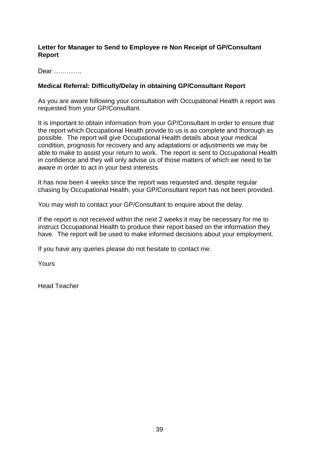#### <span id="page-38-0"></span>**Letter for Manager to Send to Employee re Non Receipt of GP/Consultant Report**

Dear ………….

## **Medical Referral: Difficulty/Delay in obtaining GP/Consultant Report**

As you are aware following your consultation with Occupational Health a report was requested from your GP/Consultant.

It is important to obtain information from your GP/Consultant in order to ensure that the report which Occupational Health provide to us is as complete and thorough as possible. The report will give Occupational Health details about your medical condition, prognosis for recovery and any adaptations or adjustments we may be able to make to assist your return to work. The report is sent to Occupational Health in confidence and they will only advise us of those matters of which we need to be aware in order to act in your best interests.

It has now been 4 weeks since the report was requested and, despite regular chasing by Occupational Health, your GP/Consultant report has not been provided.

You may wish to contact your GP/Consultant to enquire about the delay.

If the report is not received within the next 2 weeks it may be necessary for me to instruct Occupational Health to produce their report based on the information they have. The report will be used to make informed decisions about your employment.

If you have any queries please do not hesitate to contact me.

Yours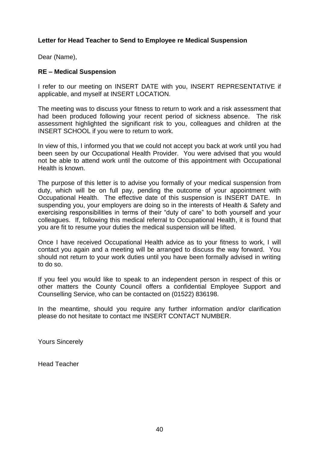#### <span id="page-39-0"></span>**Letter for Head Teacher to Send to Employee re Medical Suspension**

Dear (Name),

#### **RE – Medical Suspension**

I refer to our meeting on INSERT DATE with you, INSERT REPRESENTATIVE if applicable, and myself at INSERT LOCATION.

The meeting was to discuss your fitness to return to work and a risk assessment that had been produced following your recent period of sickness absence. The risk assessment highlighted the significant risk to you, colleagues and children at the INSERT SCHOOL if you were to return to work.

In view of this, I informed you that we could not accept you back at work until you had been seen by our Occupational Health Provider. You were advised that you would not be able to attend work until the outcome of this appointment with Occupational Health is known.

The purpose of this letter is to advise you formally of your medical suspension from duty, which will be on full pay, pending the outcome of your appointment with Occupational Health. The effective date of this suspension is INSERT DATE. In suspending you, your employers are doing so in the interests of Health & Safety and exercising responsibilities in terms of their "duty of care" to both yourself and your colleagues. If, following this medical referral to Occupational Health, it is found that you are fit to resume your duties the medical suspension will be lifted.

Once I have received Occupational Health advice as to your fitness to work, I will contact you again and a meeting will be arranged to discuss the way forward. You should not return to your work duties until you have been formally advised in writing to do so.

If you feel you would like to speak to an independent person in respect of this or other matters the County Council offers a confidential Employee Support and Counselling Service, who can be contacted on (01522) 836198.

In the meantime, should you require any further information and/or clarification please do not hesitate to contact me INSERT CONTACT NUMBER.

Yours Sincerely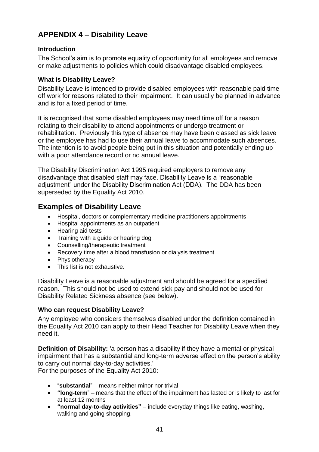# **APPENDIX 4 – Disability Leave**

## <span id="page-40-0"></span>**Introduction**

The School"s aim is to promote equality of opportunity for all employees and remove or make adjustments to policies which could disadvantage disabled employees.

## <span id="page-40-1"></span>**What is Disability Leave?**

Disability Leave is intended to provide disabled employees with reasonable paid time off work for reasons related to their impairment. It can usually be planned in advance and is for a fixed period of time.

It is recognised that some disabled employees may need time off for a reason relating to their disability to attend appointments or undergo treatment or rehabilitation. Previously this type of absence may have been classed as sick leave or the employee has had to use their annual leave to accommodate such absences. The intention is to avoid people being put in this situation and potentially ending up with a poor attendance record or no annual leave.

The Disability Discrimination Act 1995 required employers to remove any disadvantage that disabled staff may face. Disability Leave is a "reasonable adjustment" under the Disability Discrimination Act (DDA). The DDA has been superseded by the Equality Act 2010.

# <span id="page-40-2"></span>**Examples of Disability Leave**

- Hospital, doctors or complementary medicine practitioners appointments
- Hospital appointments as an outpatient
- Hearing aid tests
- Training with a guide or hearing dog
- Counselling/therapeutic treatment
- Recovery time after a blood transfusion or dialysis treatment
- Physiotherapy
- This list is not exhaustive.

Disability Leave is a reasonable adjustment and should be agreed for a specified reason. This should not be used to extend sick pay and should not be used for Disability Related Sickness absence (see below).

## <span id="page-40-3"></span>**Who can request Disability Leave?**

Any employee who considers themselves disabled under the definition contained in the Equality Act 2010 can apply to their Head Teacher for Disability Leave when they need it.

**Definition of Disability:** 'a person has a disability if they have a mental or physical impairment that has a substantial and long-term adverse effect on the person"s ability to carry out normal day-to-day activities."

For the purposes of the Equality Act 2010:

- "**substantial**" means neither minor nor trivial
- **"long-term**" means that the effect of the impairment has lasted or is likely to last for at least 12 months
- **"normal day-to-day activities"**  include everyday things like eating, washing, walking and going shopping.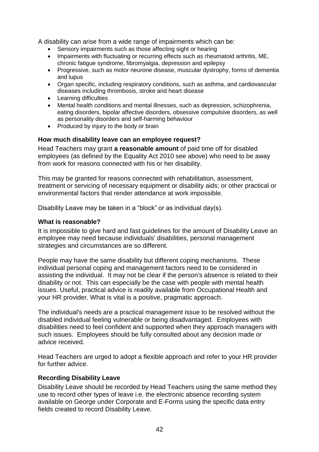A disability can arise from a wide range of impairments which can be:

- Sensory impairments such as those affecting sight or hearing
- Impairments with fluctuating or recurring effects such as rheumatoid arthritis, ME, chronic fatigue syndrome, fibromyalgia, depression and epilepsy
- Progressive, such as motor neurone disease, muscular dystrophy, forms of dementia and lupus
- Organ specific, including respiratory conditions, such as asthma, and cardiovascular diseases including thrombosis, stroke and heart disease
- Learning difficulties
- Mental health conditions and mental illnesses, such as depression, schizophrenia, eating disorders, bipolar affective disorders, obsessive compulsive disorders, as well as personality disorders and self-harming behaviour
- Produced by injury to the body or brain

#### <span id="page-41-0"></span>**How much disability leave can an employee request?**

Head Teachers may grant **a reasonable amount** of paid time off for disabled employees (as defined by the Equality Act 2010 see above) who need to be away from work for reasons connected with his or her disability.

This may be granted for reasons connected with rehabilitation, assessment, treatment or servicing of necessary equipment or disability aids; or other practical or environmental factors that render attendance at work impossible.

Disability Leave may be taken in a "block" or as individual day(s).

#### <span id="page-41-1"></span>**What is reasonable?**

It is impossible to give hard and fast guidelines for the amount of Disability Leave an employee may need because individuals' disabilities, personal management strategies and circumstances are so different.

People may have the same disability but different coping mechanisms. These individual personal coping and management factors need to be considered in assisting the individual. It may not be clear if the person's absence is related to their disability or not. This can especially be the case with people with mental health issues. Useful, practical advice is readily available from Occupational Health and your HR provider. What is vital is a positive, pragmatic approach.

The individual's needs are a practical management issue to be resolved without the disabled individual feeling vulnerable or being disadvantaged. Employees with disabilities need to feel confident and supported when they approach managers with such issues. Employees should be fully consulted about any decision made or advice received.

Head Teachers are urged to adopt a flexible approach and refer to your HR provider for further advice.

#### <span id="page-41-2"></span>**Recording Disability Leave**

Disability Leave should be recorded by Head Teachers using the same method they use to record other types of leave i.e. the electronic absence recording system available on George under Corporate and E-Forms using the specific data entry fields created to record Disability Leave.